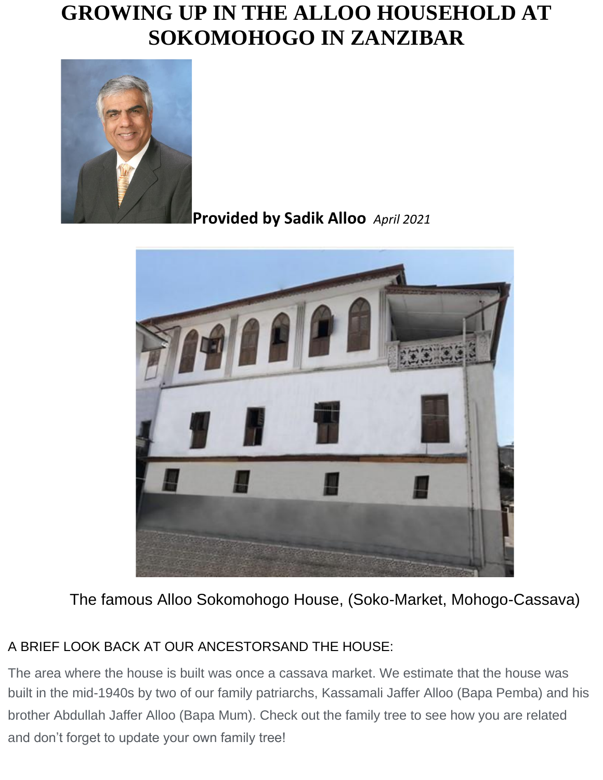# **GROWING UP IN THE ALLOO HOUSEHOLD AT SOKOMOHOGO IN ZANZIBAR**



### **Provided by Sadik Alloo** *April 2021*



The famous Alloo Sokomohogo House, (Soko-Market, Mohogo-Cassava)

#### A BRIEF LOOK BACK AT OUR ANCESTORSAND THE HOUSE:

The area where the house is built was once a cassava market. We estimate that the house was built in the mid-1940s by two of our family patriarchs, Kassamali Jaffer Alloo (Bapa Pemba) and his brother Abdullah Jaffer Alloo (Bapa Mum). Check out the family tree to see how you are related and don't forget to update your own family tree!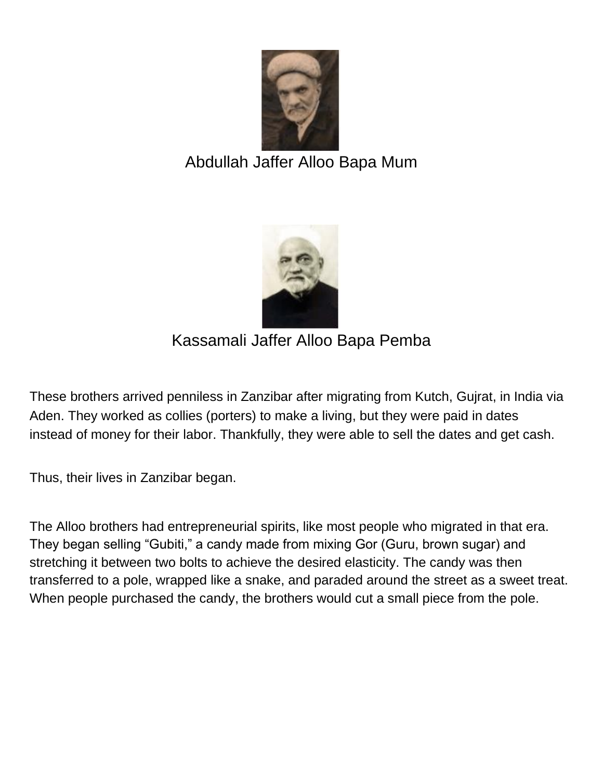

## Abdullah Jaffer Alloo Bapa Mum



Kassamali Jaffer Alloo Bapa Pemba

These brothers arrived penniless in Zanzibar after migrating from Kutch, Gujrat, in India via Aden. They worked as collies (porters) to make a living, but they were paid in dates instead of money for their labor. Thankfully, they were able to sell the dates and get cash.

Thus, their lives in Zanzibar began.

The Alloo brothers had entrepreneurial spirits, like most people who migrated in that era. They began selling "Gubiti," a candy made from mixing Gor (Guru, brown sugar) and stretching it between two bolts to achieve the desired elasticity. The candy was then transferred to a pole, wrapped like a snake, and paraded around the street as a sweet treat. When people purchased the candy, the brothers would cut a small piece from the pole.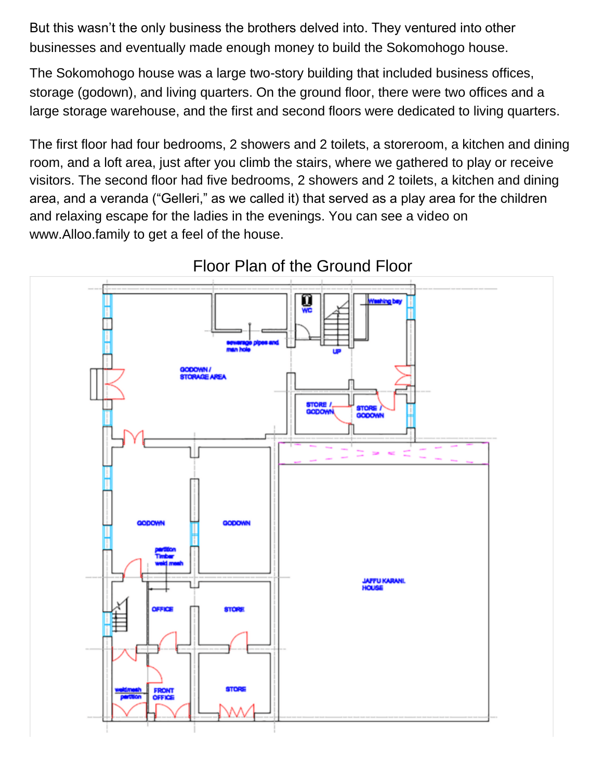But this wasn't the only business the brothers delved into. They ventured into other businesses and eventually made enough money to build the Sokomohogo house.

The Sokomohogo house was a large two-story building that included business offices, storage (godown), and living quarters. On the ground floor, there were two offices and a large storage warehouse, and the first and second floors were dedicated to living quarters.

The first floor had four bedrooms, 2 showers and 2 toilets, a storeroom, a kitchen and dining room, and a loft area, just after you climb the stairs, where we gathered to play or receive visitors. The second floor had five bedrooms, 2 showers and 2 toilets, a kitchen and dining area, and a veranda ("Gelleri," as we called it) that served as a play area for the children and relaxing escape for the ladies in the evenings. You can see a video on www.Alloo.family to get a feel of the house.

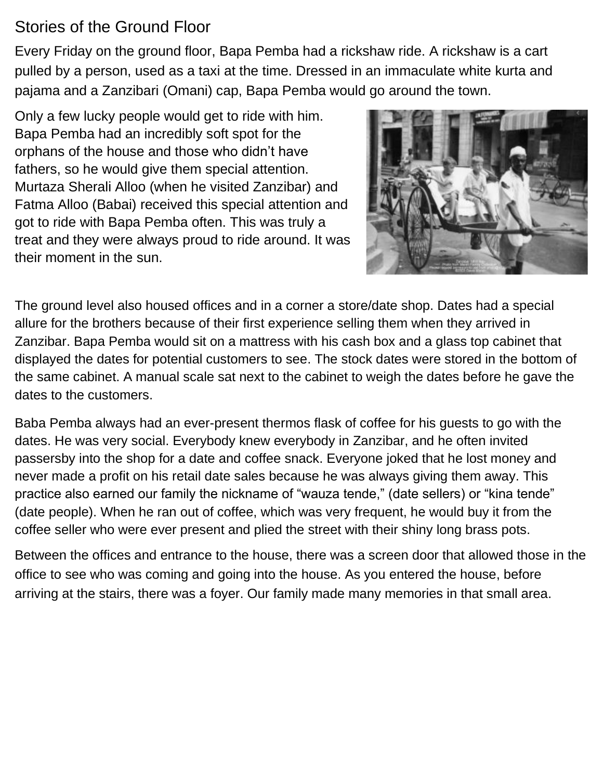### Stories of the Ground Floor

Every Friday on the ground floor, Bapa Pemba had a rickshaw ride. A rickshaw is a cart pulled by a person, used as a taxi at the time. Dressed in an immaculate white kurta and pajama and a Zanzibari (Omani) cap, Bapa Pemba would go around the town.

Only a few lucky people would get to ride with him. Bapa Pemba had an incredibly soft spot for the orphans of the house and those who didn't have fathers, so he would give them special attention. Murtaza Sherali Alloo (when he visited Zanzibar) and Fatma Alloo (Babai) received this special attention and got to ride with Bapa Pemba often. This was truly a treat and they were always proud to ride around. It was their moment in the sun.



The ground level also housed offices and in a corner a store/date shop. Dates had a special allure for the brothers because of their first experience selling them when they arrived in Zanzibar. Bapa Pemba would sit on a mattress with his cash box and a glass top cabinet that displayed the dates for potential customers to see. The stock dates were stored in the bottom of the same cabinet. A manual scale sat next to the cabinet to weigh the dates before he gave the dates to the customers.

Baba Pemba always had an ever-present thermos flask of coffee for his guests to go with the dates. He was very social. Everybody knew everybody in Zanzibar, and he often invited passersby into the shop for a date and coffee snack. Everyone joked that he lost money and never made a profit on his retail date sales because he was always giving them away. This practice also earned our family the nickname of "wauza tende," (date sellers) or "kina tende" (date people). When he ran out of coffee, which was very frequent, he would buy it from the coffee seller who were ever present and plied the street with their shiny long brass pots.

Between the offices and entrance to the house, there was a screen door that allowed those in the office to see who was coming and going into the house. As you entered the house, before arriving at the stairs, there was a foyer. Our family made many memories in that small area.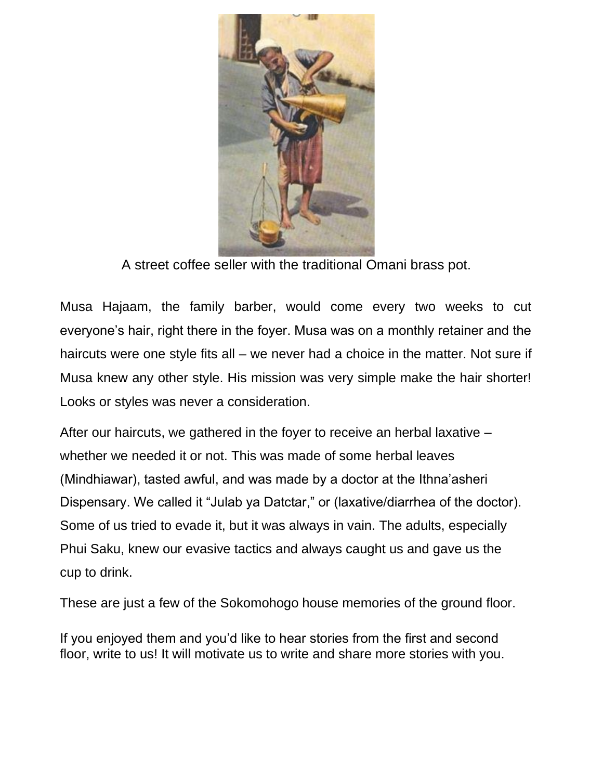

A street coffee seller with the traditional Omani brass pot.

Musa Hajaam, the family barber, would come every two weeks to cut everyone's hair, right there in the foyer. Musa was on a monthly retainer and the haircuts were one style fits all – we never had a choice in the matter. Not sure if Musa knew any other style. His mission was very simple make the hair shorter! Looks or styles was never a consideration.

After our haircuts, we gathered in the foyer to receive an herbal laxative – whether we needed it or not. This was made of some herbal leaves (Mindhiawar), tasted awful, and was made by a doctor at the Ithna'asheri Dispensary. We called it "Julab ya Datctar," or (laxative/diarrhea of the doctor). Some of us tried to evade it, but it was always in vain. The adults, especially Phui Saku, knew our evasive tactics and always caught us and gave us the cup to drink.

These are just a few of the Sokomohogo house memories of the ground floor.

If you enjoyed them and you'd like to hear stories from the first and second floor, write to us! It will motivate us to write and share more stories with you.